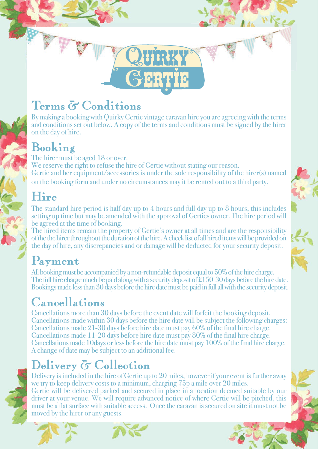## Terms & Conditions

By making a booking with Quirky Gertie vintage caravan hire you are agreeing with the terms and conditions set out below. A copy of the terms and conditions must be signed by the hirer on the day of hire.

UIRKY

ERTIE

C.

G

### Booking

The hirer must be aged 18 or over. We reserve the right to refuse the hire of Gertie without stating our reason. Gertie and her equipment/accessories is under the sole responsibility of the hirer(s) named on the booking form and under no circumstances may it be rented out to a third party.

## Hire

The standard hire period is half day up to 4 hours and full day up to 8 hours, this includes setting up time but may be amended with the approval of Gerties owner. The hire period will be agreed at the time of booking.

The hired items remain the property of Gertie's owner at all times and are the responsibility of the the hirer throughout the duration of the hire. A check list of all hired items will be provided on the day of hire, any discrepancies and or damage will be deducted for your security deposit.

## Payment

All booking must be accompanied by a non-refundable deposit equal to 50% of the hire charge. The full hire charge much be paid along with a security deposit of £150 30 days before the hire date. Bookings made less than 30 days before the hire date must be paid in full all with the security deposit.

## Cancellations

Cancellations more than 30 days before the event date will forfeit the booking deposit. Cancellations made within 30 days before the hire date will be subject the following charges: Cancellations made 21-30 days before hire date must pay 60% of the final hire charge. Cancellations made 11-20 days before hire date must pay 80% of the final hire charge. Cancellations made 10days or less before the hire date must pay 100% of the final hire charge. A change of date may be subject to an additional fee.

# Delivery  $\delta$  Collection



Delivery is included in the hire of Gertie up to 20 miles, however if your event is further away we try to keep delivery costs to a minimum, charging 75p a mile over 20 miles. Gertie will be delivered parked and secured in place in a location deemed suitable by our driver at your venue. We will require advanced notice of where Gertie will be pitched, this must be a flat surface with suitable access. Once the caravan is secured on site it must not be moved by the hirer or any guests.